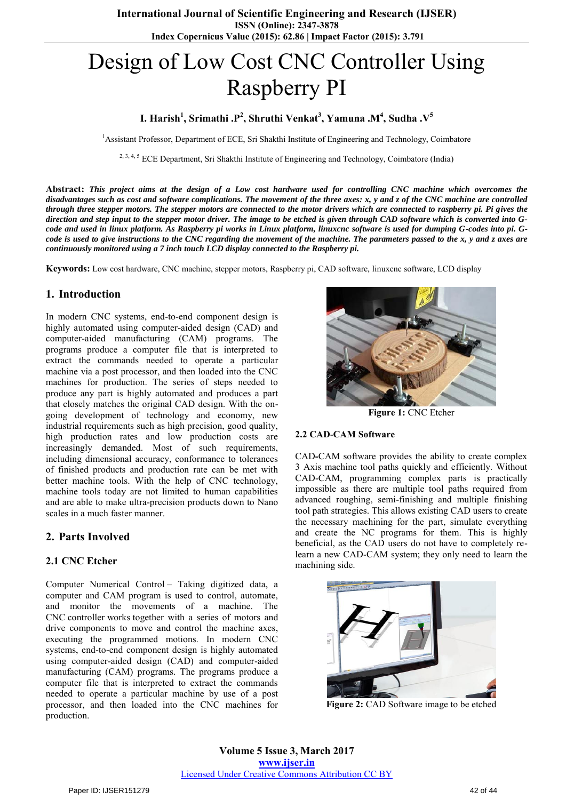# Design of Low Cost CNC Controller Using Raspberry PI

**I. Harish<sup>1</sup> , Srimathi .P<sup>2</sup> , Shruthi Venkat<sup>3</sup> , Yamuna .M<sup>4</sup> , Sudha .V<sup>5</sup>**

<sup>1</sup>Assistant Professor, Department of ECE, Sri Shakthi Institute of Engineering and Technology, Coimbatore

<sup>2, 3, 4, 5</sup> ECE Department, Sri Shakthi Institute of Engineering and Technology, Coimbatore (India)

**Abstract:** *This project aims at the design of a Low cost hardware used for controlling CNC machine which overcomes the disadvantages such as cost and software complications. The movement of the three axes: x, y and z of the CNC machine are controlled through three stepper motors. The stepper motors are connected to the motor drivers which are connected to raspberry pi. Pi gives the direction and step input to the stepper motor driver. The image to be etched is given through CAD software which is converted into Gcode and used in linux platform. As Raspberry pi works in Linux platform, linuxcnc software is used for dumping G-codes into pi. Gcode is used to give instructions to the CNC regarding the movement of the machine. The parameters passed to the x, y and z axes are continuously monitored using a 7 inch touch LCD display connected to the Raspberry pi.* 

**Keywords:** Low cost hardware, CNC machine, stepper motors, Raspberry pi, CAD software, linuxcnc software, LCD display

## **1. Introduction**

In modern CNC systems, end-to-end component design is highly automated using computer-aided design (CAD) and computer-aided manufacturing (CAM) programs. The programs produce a computer file that is interpreted to extract the commands needed to operate a particular machine via a post processor, and then loaded into the CNC machines for production. The series of steps needed to produce any part is highly automated and produces a part that closely matches the original CAD design. With the ongoing development of technology and economy, new industrial requirements such as high precision, good quality, high production rates and low production costs are increasingly demanded. Most of such requirements, including dimensional accuracy, conformance to tolerances of finished products and production rate can be met with better machine tools. With the help of CNC technology, machine tools today are not limited to human capabilities and are able to make ultra-precision products down to Nano scales in a much faster manner.

## **2. Parts Involved**

### **2.1 CNC Etcher**

Computer Numerical Control – Taking digitized data, a computer and CAM program is used to control, automate, and monitor the movements of a machine. The CNC controller works together with a series of motors and drive components to move and control the machine axes, executing the programmed motions. In modern CNC systems, end-to-end component design is highly automated using computer-aided design (CAD) and computer-aided manufacturing (CAM) programs. The programs produce a computer file that is interpreted to extract the commands needed to operate a particular machine by use of a post processor, and then loaded into the CNC machines for production.



**Figure 1:** CNC Etcher

#### **2.2 CAD**-**CAM Software**

CAD**-**CAM software provides the ability to create complex 3 Axis machine tool paths quickly and efficiently. Without CAD-CAM, programming complex parts is practically impossible as there are multiple tool paths required from advanced roughing, semi-finishing and multiple finishing tool path strategies. This allows existing CAD users to create the necessary machining for the part, simulate everything and create the NC programs for them. This is highly beneficial, as the CAD users do not have to completely relearn a new CAD-CAM system; they only need to learn the machining side.



**Figure 2:** CAD Software image to be etched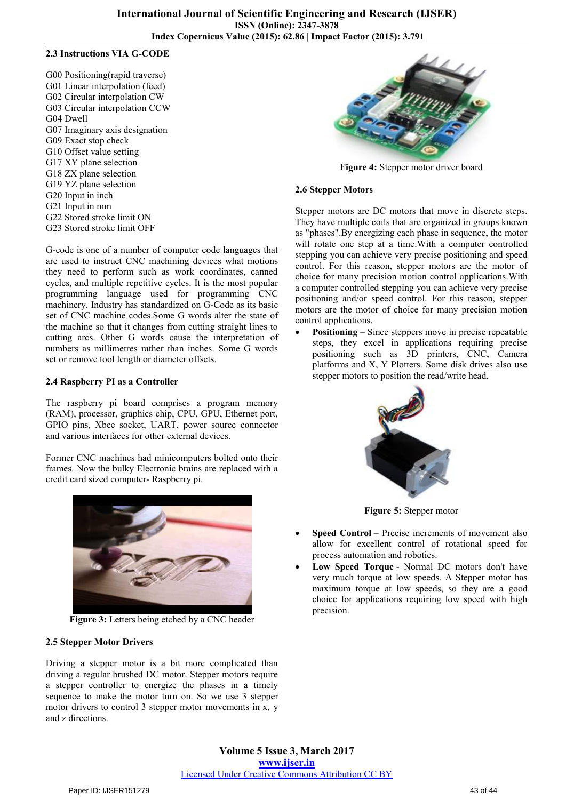#### **2.3 Instructions VIA G-CODE**

G00 Positioning(rapid traverse) G01 Linear interpolation (feed) G02 Circular interpolation CW G03 Circular interpolation CCW G04 Dwell G07 Imaginary axis designation G09 Exact stop check G10 Offset value setting G17 XY plane selection G18 ZX plane selection G19 YZ plane selection G20 Input in inch G21 Input in mm G22 Stored stroke limit ON G23 Stored stroke limit OFF

G-code is one of a number of computer code languages that are used to instruct CNC machining devices what motions they need to perform such as work coordinates, canned cycles, and multiple repetitive cycles. It is the most popular programming language used for programming CNC machinery. Industry has standardized on G-Code as its basic set of CNC machine codes.Some G words alter the state of the machine so that it changes from cutting straight lines to cutting arcs. Other G words cause the interpretation of numbers as millimetres rather than inches. Some G words set or remove tool length or diameter offsets.

#### **2.4 Raspberry PI as a Controller**

The raspberry pi board comprises a program memory (RAM), processor, graphics chip, CPU, GPU, Ethernet port, GPIO pins, Xbee socket, UART, power source connector and various interfaces for other external devices.

Former CNC machines had minicomputers bolted onto their frames. Now the bulky Electronic brains are replaced with a credit card sized computer- Raspberry pi.



**Figure 3:** Letters being etched by a CNC header

### **2.5 Stepper Motor Drivers**

Driving a stepper motor is a bit more complicated than driving a regular brushed DC motor. Stepper motors require a stepper controller to energize the phases in a timely sequence to make the motor turn on. So we use 3 stepper motor drivers to control 3 stepper motor movements in x, y and z directions.



**Figure 4:** Stepper motor driver board

#### **2.6 Stepper Motors**

Stepper motors are DC motors that move in discrete steps. They have multiple coils that are organized in groups known as "phases".By energizing each phase in sequence, the motor will rotate one step at a time.With a computer controlled stepping you can achieve very precise positioning and speed control. For this reason, stepper motors are the motor of choice for many precision motion control applications.With a computer controlled stepping you can achieve very precise positioning and/or speed control. For this reason, stepper motors are the motor of choice for many precision motion control applications.

 **Positioning** – Since steppers move in precise repeatable steps, they excel in applications requiring precise positioning such as 3D printers, CNC, Camera platforms and X, Y Plotters. Some disk drives also use stepper motors to position the read/write head.



**Figure 5:** Stepper motor

- **Speed Control** Precise increments of movement also allow for excellent control of rotational speed for process automation and robotics.
- **Low Speed Torque** Normal DC motors don't have very much torque at low speeds. A Stepper motor has maximum torque at low speeds, so they are a good choice for applications requiring low speed with high precision.